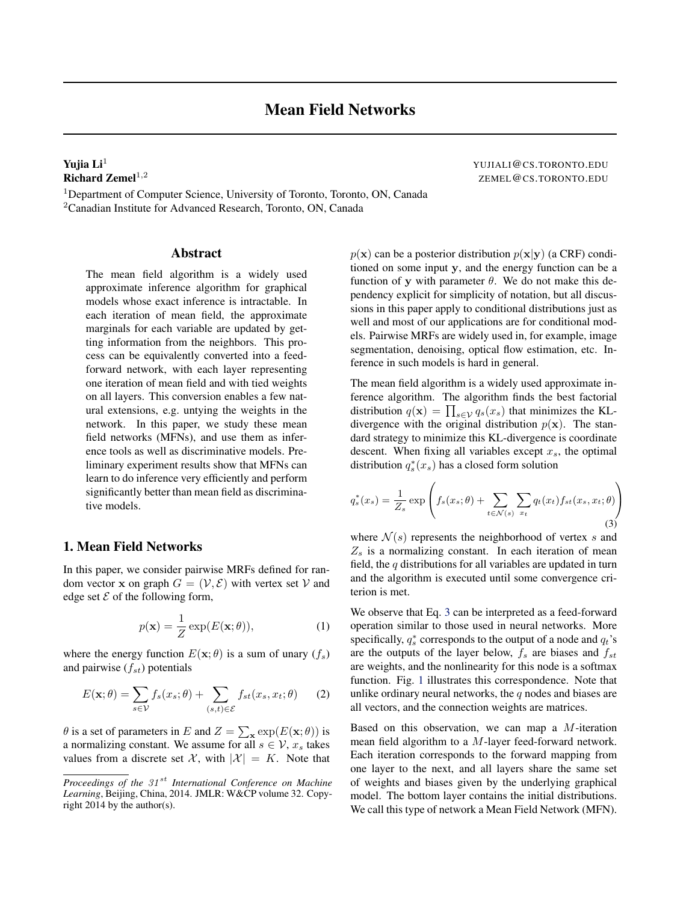<sup>1</sup>Department of Computer Science, University of Toronto, Toronto, ON, Canada <sup>2</sup>Canadian Institute for Advanced Research, Toronto, ON, Canada

### Abstract

The mean field algorithm is a widely used approximate inference algorithm for graphical models whose exact inference is intractable. In each iteration of mean field, the approximate marginals for each variable are updated by getting information from the neighbors. This process can be equivalently converted into a feedforward network, with each layer representing one iteration of mean field and with tied weights on all layers. This conversion enables a few natural extensions, e.g. untying the weights in the network. In this paper, we study these mean field networks (MFNs), and use them as inference tools as well as discriminative models. Preliminary experiment results show that MFNs can learn to do inference very efficiently and perform significantly better than mean field as discriminative models.

# 1. Mean Field Networks

In this paper, we consider pairwise MRFs defined for random vector x on graph  $G = (\mathcal{V}, \mathcal{E})$  with vertex set V and edge set  $\mathcal E$  of the following form,

$$
p(\mathbf{x}) = \frac{1}{Z} \exp(E(\mathbf{x}; \theta)), \tag{1}
$$

where the energy function  $E(\mathbf{x}; \theta)$  is a sum of unary  $(f_s)$ and pairwise  $(f_{st})$  potentials

$$
E(\mathbf{x};\theta) = \sum_{s \in \mathcal{V}} f_s(x_s; \theta) + \sum_{(s,t) \in \mathcal{E}} f_{st}(x_s, x_t; \theta)
$$
 (2)

 $\theta$  is a set of parameters in E and  $Z = \sum_{\mathbf{x}} \exp(E(\mathbf{x}; \theta))$  is a normalizing constant. We assume for all  $s \in \mathcal{V}$ ,  $x_s$  takes values from a discrete set X, with  $|\mathcal{X}| = K$ . Note that  $p(x)$  can be a posterior distribution  $p(x|y)$  (a CRF) conditioned on some input y, and the energy function can be a function of y with parameter  $\theta$ . We do not make this dependency explicit for simplicity of notation, but all discussions in this paper apply to conditional distributions just as well and most of our applications are for conditional models. Pairwise MRFs are widely used in, for example, image segmentation, denoising, optical flow estimation, etc. Inference in such models is hard in general.

The mean field algorithm is a widely used approximate inference algorithm. The algorithm finds the best factorial distribution  $q(\mathbf{x}) = \prod_{s \in \mathcal{V}} q_s(x_s)$  that minimizes the KLdivergence with the original distribution  $p(x)$ . The standard strategy to minimize this KL-divergence is coordinate descent. When fixing all variables except  $x<sub>s</sub>$ , the optimal distribution  $q_s^*(x_s)$  has a closed form solution

$$
q_s^*(x_s) = \frac{1}{Z_s} \exp\left(f_s(x_s; \theta) + \sum_{t \in \mathcal{N}(s)} \sum_{x_t} q_t(x_t) f_{st}(x_s, x_t; \theta)\right)
$$
(3)

where  $\mathcal{N}(s)$  represents the neighborhood of vertex s and  $Z_s$  is a normalizing constant. In each iteration of mean field, the  $q$  distributions for all variables are updated in turn and the algorithm is executed until some convergence criterion is met.

We observe that Eq. 3 can be interpreted as a feed-forward operation similar to those used in neural networks. More specifically,  $q_s^*$  corresponds to the output of a node and  $q_t$ 's are the outputs of the layer below,  $f_s$  are biases and  $f_{st}$ are weights, and the nonlinearity for this node is a softmax function. Fig. [1](#page-1-0) illustrates this correspondence. Note that unlike ordinary neural networks, the  $q$  nodes and biases are all vectors, and the connection weights are matrices.

Based on this observation, we can map a  $M$ -iteration mean field algorithm to a M-layer feed-forward network. Each iteration corresponds to the forward mapping from one layer to the next, and all layers share the same set of weights and biases given by the underlying graphical model. The bottom layer contains the initial distributions. We call this type of network a Mean Field Network (MFN).

<span id="page-0-0"></span>**Yujia Li<sup>1</sup>**<br> **Richard Zemel<sup>1,2</sup>**<br> **Richard Zemel<sup>1,2</sup>** ZEMEL@CS.TORONTO.EDU

*Proceedings of the 31<sup>st</sup> International Conference on Machine Learning*, Beijing, China, 2014. JMLR: W&CP volume 32. Copyright 2014 by the author(s).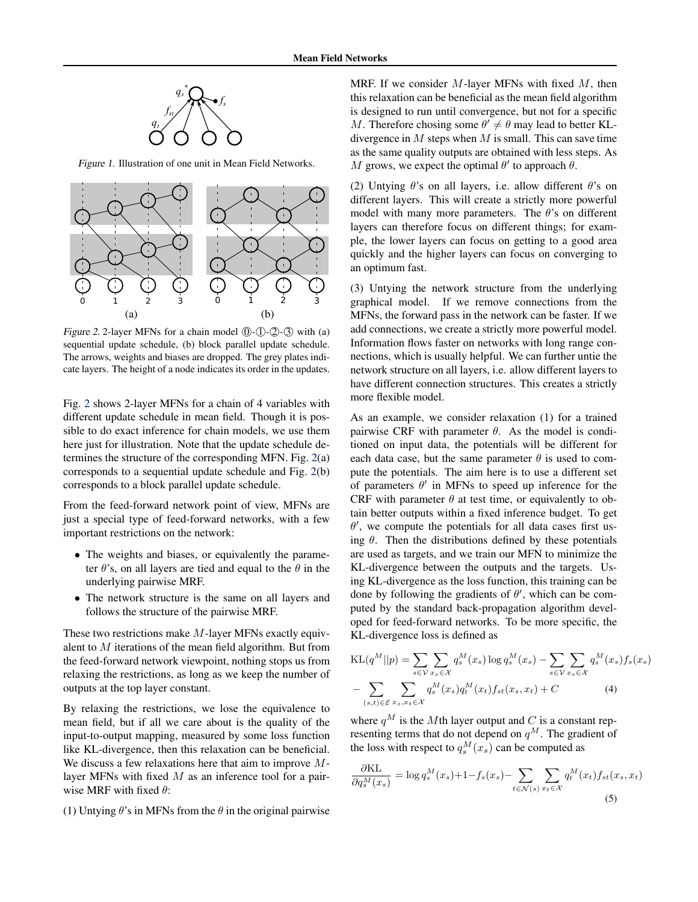<span id="page-1-0"></span>

Figure 1. Illustration of one unit in Mean Field Networks.



Figure 2. 2-layer MFNs for a chain model  $(0)$ - $(1)$ - $(2)$ - $(3)$  with (a) sequential update schedule, (b) block parallel update schedule. The arrows, weights and biases are dropped. The grey plates indicate layers. The height of a node indicates its order in the updates.

Fig. 2 shows 2-layer MFNs for a chain of 4 variables with different update schedule in mean field. Though it is possible to do exact inference for chain models, we use them here just for illustration. Note that the update schedule determines the structure of the corresponding MFN. Fig. 2(a) corresponds to a sequential update schedule and Fig. 2(b) corresponds to a block parallel update schedule.

From the feed-forward network point of view, MFNs are just a special type of feed-forward networks, with a few important restrictions on the network:

- The weights and biases, or equivalently the parameter  $\theta$ 's, on all layers are tied and equal to the  $\theta$  in the underlying pairwise MRF.
- The network structure is the same on all layers and follows the structure of the pairwise MRF.

These two restrictions make M-layer MFNs exactly equivalent to M iterations of the mean field algorithm. But from the feed-forward network viewpoint, nothing stops us from relaxing the restrictions, as long as we keep the number of outputs at the top layer constant.

By relaxing the restrictions, we lose the equivalence to mean field, but if all we care about is the quality of the input-to-output mapping, measured by some loss function like KL-divergence, then this relaxation can be beneficial. We discuss a few relaxations here that aim to improve Mlayer MFNs with fixed  $M$  as an inference tool for a pairwise MRF with fixed  $\theta$ :

(1) Untying  $\theta$ 's in MFNs from the  $\theta$  in the original pairwise

MRF. If we consider  $M$ -layer MFNs with fixed  $M$ , then this relaxation can be beneficial as the mean field algorithm is designed to run until convergence, but not for a specific M. Therefore chosing some  $\theta' \neq \theta$  may lead to better KLdivergence in  $M$  steps when  $M$  is small. This can save time as the same quality outputs are obtained with less steps. As M grows, we expect the optimal  $\theta'$  to approach  $\theta$ .

(2) Untying  $\theta$ 's on all layers, i.e. allow different  $\theta$ 's on different layers. This will create a strictly more powerful model with many more parameters. The  $\theta$ 's on different layers can therefore focus on different things; for example, the lower layers can focus on getting to a good area quickly and the higher layers can focus on converging to an optimum fast.

(3) Untying the network structure from the underlying graphical model. If we remove connections from the MFNs, the forward pass in the network can be faster. If we add connections, we create a strictly more powerful model. Information flows faster on networks with long range connections, which is usually helpful. We can further untie the network structure on all layers, i.e. allow different layers to have different connection structures. This creates a strictly more flexible model.

As an example, we consider relaxation (1) for a trained pairwise CRF with parameter  $\theta$ . As the model is conditioned on input data, the potentials will be different for each data case, but the same parameter  $\theta$  is used to compute the potentials. The aim here is to use a different set of parameters  $\theta'$  in MFNs to speed up inference for the CRF with parameter  $\theta$  at test time, or equivalently to obtain better outputs within a fixed inference budget. To get  $\theta'$ , we compute the potentials for all data cases first using  $\theta$ . Then the distributions defined by these potentials are used as targets, and we train our MFN to minimize the KL-divergence between the outputs and the targets. Using KL-divergence as the loss function, this training can be done by following the gradients of  $\theta'$ , which can be computed by the standard back-propagation algorithm developed for feed-forward networks. To be more specific, the KL-divergence loss is defined as

$$
KL(q^M||p) = \sum_{s \in \mathcal{V}} \sum_{x_s \in \mathcal{X}} q_s^M(x_s) \log q_s^M(x_s) - \sum_{s \in \mathcal{V}} \sum_{x_s \in \mathcal{X}} q_s^M(x_s) f_s(x_s)
$$

$$
- \sum_{(s,t) \in \mathcal{E}} \sum_{x_s, x_t \in \mathcal{X}} q_s^M(x_s) q_t^M(x_t) f_{st}(x_s, x_t) + C
$$
(4)

where  $q^M$  is the Mth layer output and C is a constant representing terms that do not depend on  $q^M$ . The gradient of the loss with respect to  $q_s^M(x_s)$  can be computed as

$$
\frac{\partial \text{KL}}{\partial q_s^M(x_s)} = \log q_s^M(x_s) + 1 - f_s(x_s) - \sum_{t \in \mathcal{N}(s)} \sum_{x_t \in \mathcal{X}} q_t^M(x_t) f_{st}(x_s, x_t)
$$
\n(5)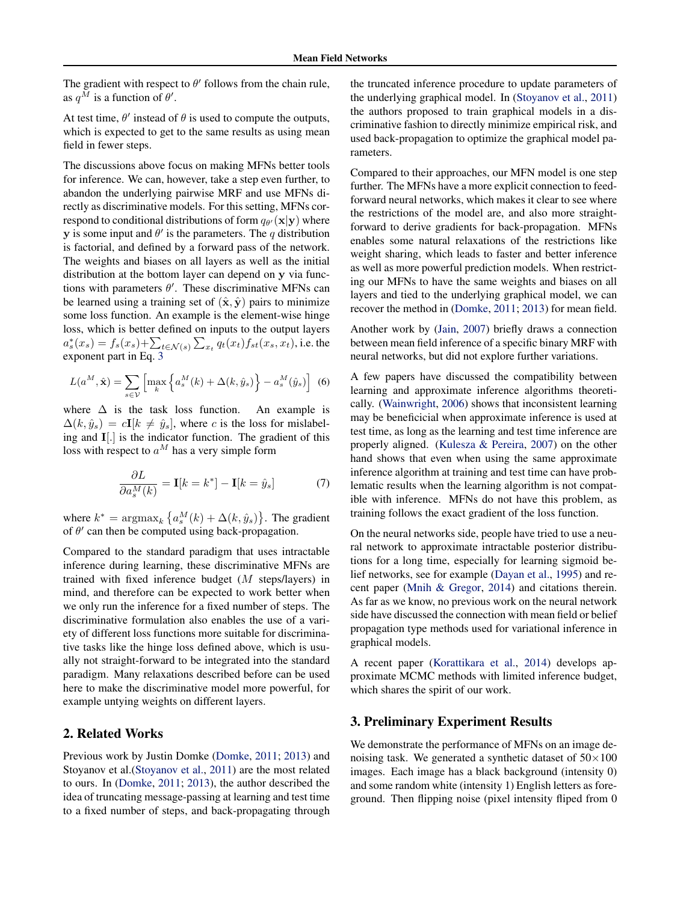The gradient with respect to  $\theta'$  follows from the chain rule, as  $q^M$  is a function of  $\theta'$ .

At test time,  $\theta'$  instead of  $\theta$  is used to compute the outputs, which is expected to get to the same results as using mean field in fewer steps.

The discussions above focus on making MFNs better tools for inference. We can, however, take a step even further, to abandon the underlying pairwise MRF and use MFNs directly as discriminative models. For this setting, MFNs correspond to conditional distributions of form  $q_{\theta'}(\mathbf{x}|\mathbf{y})$  where y is some input and  $\theta'$  is the parameters. The q distribution is factorial, and defined by a forward pass of the network. The weights and biases on all layers as well as the initial distribution at the bottom layer can depend on y via functions with parameters  $\theta'$ . These discriminative MFNs can be learned using a training set of  $(\hat{\mathbf{x}}, \hat{\mathbf{y}})$  pairs to minimize some loss function. An example is the element-wise hinge loss, which is better defined on inputs to the output layers  $a_s^*(x_s) = f_s(x_s) + \sum_{t \in \mathcal{N}(s)} \sum_{x_t} q_t(x_t) f_{st}(x_s, x_t)$ , i.e. the exponent part in Eq. [3](#page-0-0)

$$
L(a^M, \hat{\mathbf{x}}) = \sum_{s \in \mathcal{V}} \left[ \max_k \left\{ a_s^M(k) + \Delta(k, \hat{y}_s) \right\} - a_s^M(\hat{y}_s) \right] \tag{6}
$$

where  $\Delta$  is the task loss function. An example is  $\Delta(k, \hat{y}_s) = c\mathbf{I}[k \neq \hat{y}_s]$ , where c is the loss for mislabeling and I[.] is the indicator function. The gradient of this loss with respect to  $a^M$  has a very simple form

$$
\frac{\partial L}{\partial a_s^M(k)} = \mathbf{I}[k = k^*] - \mathbf{I}[k = \hat{y}_s]
$$
(7)

where  $k^* = \operatorname{argmax}_k \left\{ a_s^M(k) + \Delta(k, \hat{y}_s) \right\}$ . The gradient of  $\theta'$  can then be computed using back-propagation.

Compared to the standard paradigm that uses intractable inference during learning, these discriminative MFNs are trained with fixed inference budget (M steps/layers) in mind, and therefore can be expected to work better when we only run the inference for a fixed number of steps. The discriminative formulation also enables the use of a variety of different loss functions more suitable for discriminative tasks like the hinge loss defined above, which is usually not straight-forward to be integrated into the standard paradigm. Many relaxations described before can be used here to make the discriminative model more powerful, for example untying weights on different layers.

# 2. Related Works

Previous work by Justin Domke [\(Domke,](#page-4-0) [2011;](#page-4-0) [2013\)](#page-4-0) and Stoyanov et al.[\(Stoyanov et al.,](#page-4-0) [2011\)](#page-4-0) are the most related to ours. In [\(Domke,](#page-4-0) [2011;](#page-4-0) [2013\)](#page-4-0), the author described the idea of truncating message-passing at learning and test time to a fixed number of steps, and back-propagating through the truncated inference procedure to update parameters of the underlying graphical model. In [\(Stoyanov et al.,](#page-4-0) [2011\)](#page-4-0) the authors proposed to train graphical models in a discriminative fashion to directly minimize empirical risk, and used back-propagation to optimize the graphical model parameters.

Compared to their approaches, our MFN model is one step further. The MFNs have a more explicit connection to feedforward neural networks, which makes it clear to see where the restrictions of the model are, and also more straightforward to derive gradients for back-propagation. MFNs enables some natural relaxations of the restrictions like weight sharing, which leads to faster and better inference as well as more powerful prediction models. When restricting our MFNs to have the same weights and biases on all layers and tied to the underlying graphical model, we can recover the method in [\(Domke,](#page-4-0) [2011;](#page-4-0) [2013\)](#page-4-0) for mean field.

Another work by [\(Jain,](#page-4-0) [2007\)](#page-4-0) briefly draws a connection between mean field inference of a specific binary MRF with neural networks, but did not explore further variations.

A few papers have discussed the compatibility between learning and approximate inference algorithms theoretically. [\(Wainwright,](#page-4-0) [2006\)](#page-4-0) shows that inconsistent learning may be beneficicial when approximate inference is used at test time, as long as the learning and test time inference are properly aligned. [\(Kulesza & Pereira,](#page-4-0) [2007\)](#page-4-0) on the other hand shows that even when using the same approximate inference algorithm at training and test time can have problematic results when the learning algorithm is not compatible with inference. MFNs do not have this problem, as training follows the exact gradient of the loss function.

On the neural networks side, people have tried to use a neural network to approximate intractable posterior distributions for a long time, especially for learning sigmoid belief networks, see for example [\(Dayan et al.,](#page-4-0) [1995\)](#page-4-0) and recent paper [\(Mnih & Gregor,](#page-4-0) [2014\)](#page-4-0) and citations therein. As far as we know, no previous work on the neural network side have discussed the connection with mean field or belief propagation type methods used for variational inference in graphical models.

A recent paper [\(Korattikara et al.,](#page-4-0) [2014\)](#page-4-0) develops approximate MCMC methods with limited inference budget, which shares the spirit of our work.

# 3. Preliminary Experiment Results

We demonstrate the performance of MFNs on an image denoising task. We generated a synthetic dataset of  $50 \times 100$ images. Each image has a black background (intensity 0) and some random white (intensity 1) English letters as foreground. Then flipping noise (pixel intensity fliped from 0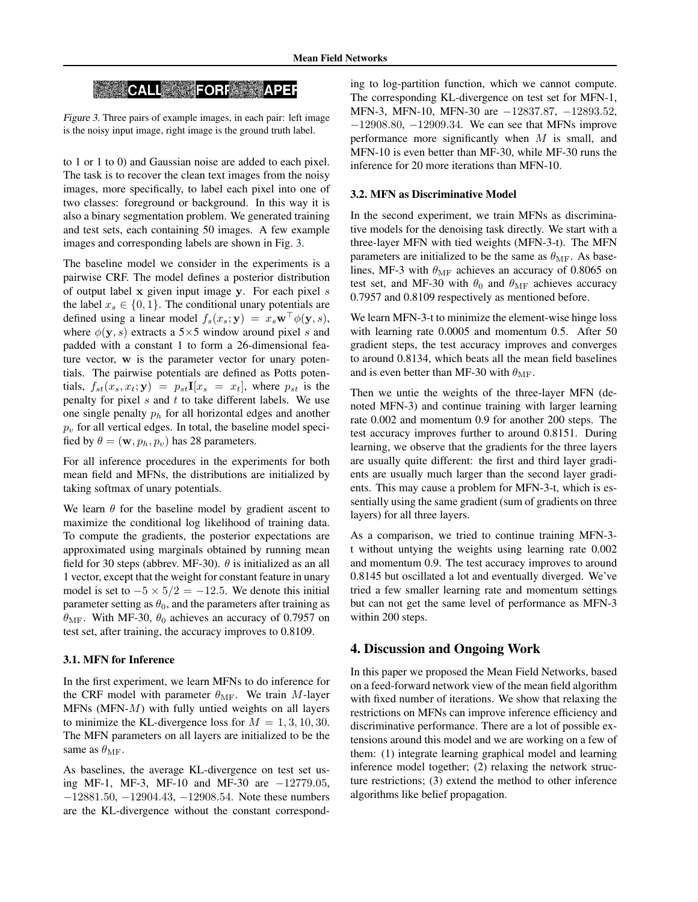# **CALL FORE APER**

Figure 3. Three pairs of example images, in each pair: left image is the noisy input image, right image is the ground truth label.

to 1 or 1 to 0) and Gaussian noise are added to each pixel. The task is to recover the clean text images from the noisy images, more specifically, to label each pixel into one of two classes: foreground or background. In this way it is also a binary segmentation problem. We generated training and test sets, each containing 50 images. A few example images and corresponding labels are shown in Fig. 3.

The baseline model we consider in the experiments is a pairwise CRF. The model defines a posterior distribution of output label x given input image y. For each pixel s the label  $x_s \in \{0, 1\}$ . The conditional unary potentials are defined using a linear model  $f_s(x_s; y) = x_s \mathbf{w}^\top \phi(y, s)$ , where  $\phi(y, s)$  extracts a 5×5 window around pixel s and padded with a constant 1 to form a 26-dimensional feature vector, w is the parameter vector for unary potentials. The pairwise potentials are defined as Potts potentials,  $f_{st}(x_s, x_t; \mathbf{y}) = p_{st}I[x_s = x_t]$ , where  $p_{st}$  is the penalty for pixel  $s$  and  $t$  to take different labels. We use one single penalty  $p_h$  for all horizontal edges and another  $p_v$  for all vertical edges. In total, the baseline model specified by  $\theta = (\mathbf{w}, p_h, p_v)$  has 28 parameters.

For all inference procedures in the experiments for both mean field and MFNs, the distributions are initialized by taking softmax of unary potentials.

We learn  $\theta$  for the baseline model by gradient ascent to maximize the conditional log likelihood of training data. To compute the gradients, the posterior expectations are approximated using marginals obtained by running mean field for 30 steps (abbrev. MF-30).  $\theta$  is initialized as an all 1 vector, except that the weight for constant feature in unary model is set to  $-5 \times 5/2 = -12.5$ . We denote this initial parameter setting as  $\theta_0$ , and the parameters after training as  $\theta_{\rm MF}$ . With MF-30,  $\theta_0$  achieves an accuracy of 0.7957 on test set, after training, the accuracy improves to 0.8109.

### 3.1. MFN for Inference

In the first experiment, we learn MFNs to do inference for the CRF model with parameter  $\theta_{\text{MF}}$ . We train M-layer MFNs (MFN- $M$ ) with fully untied weights on all layers to minimize the KL-divergence loss for  $M = 1, 3, 10, 30$ . The MFN parameters on all layers are initialized to be the same as  $\theta_{\rm MF}$ .

As baselines, the average KL-divergence on test set using MF-1, MF-3, MF-10 and MF-30 are −12779.05, −12881.50, −12904.43, −12908.54. Note these numbers are the KL-divergence without the constant corresponding to log-partition function, which we cannot compute. The corresponding KL-divergence on test set for MFN-1, MFN-3, MFN-10, MFN-30 are −12837.87, −12893.52, −12908.80, −12909.34. We can see that MFNs improve performance more significantly when  $M$  is small, and MFN-10 is even better than MF-30, while MF-30 runs the inference for 20 more iterations than MFN-10.

### 3.2. MFN as Discriminative Model

In the second experiment, we train MFNs as discriminative models for the denoising task directly. We start with a three-layer MFN with tied weights (MFN-3-t). The MFN parameters are initialized to be the same as  $\theta_{\rm MF}$ . As baselines, MF-3 with  $\theta_{\rm MF}$  achieves an accuracy of 0.8065 on test set, and MF-30 with  $\theta_0$  and  $\theta_{\text{MF}}$  achieves accuracy 0.7957 and 0.8109 respectively as mentioned before.

We learn MFN-3-t to minimize the element-wise hinge loss with learning rate 0.0005 and momentum 0.5. After 50 gradient steps, the test accuracy improves and converges to around 0.8134, which beats all the mean field baselines and is even better than MF-30 with  $\theta_{\text{MF}}$ .

Then we untie the weights of the three-layer MFN (denoted MFN-3) and continue training with larger learning rate 0.002 and momentum 0.9 for another 200 steps. The test accuracy improves further to around 0.8151. During learning, we observe that the gradients for the three layers are usually quite different: the first and third layer gradients are usually much larger than the second layer gradients. This may cause a problem for MFN-3-t, which is essentially using the same gradient (sum of gradients on three layers) for all three layers.

As a comparison, we tried to continue training MFN-3 t without untying the weights using learning rate 0.002 and momentum 0.9. The test accuracy improves to around 0.8145 but oscillated a lot and eventually diverged. We've tried a few smaller learning rate and momentum settings but can not get the same level of performance as MFN-3 within 200 steps.

### 4. Discussion and Ongoing Work

In this paper we proposed the Mean Field Networks, based on a feed-forward network view of the mean field algorithm with fixed number of iterations. We show that relaxing the restrictions on MFNs can improve inference efficiency and discriminative performance. There are a lot of possible extensions around this model and we are working on a few of them: (1) integrate learning graphical model and learning inference model together; (2) relaxing the network structure restrictions; (3) extend the method to other inference algorithms like belief propagation.